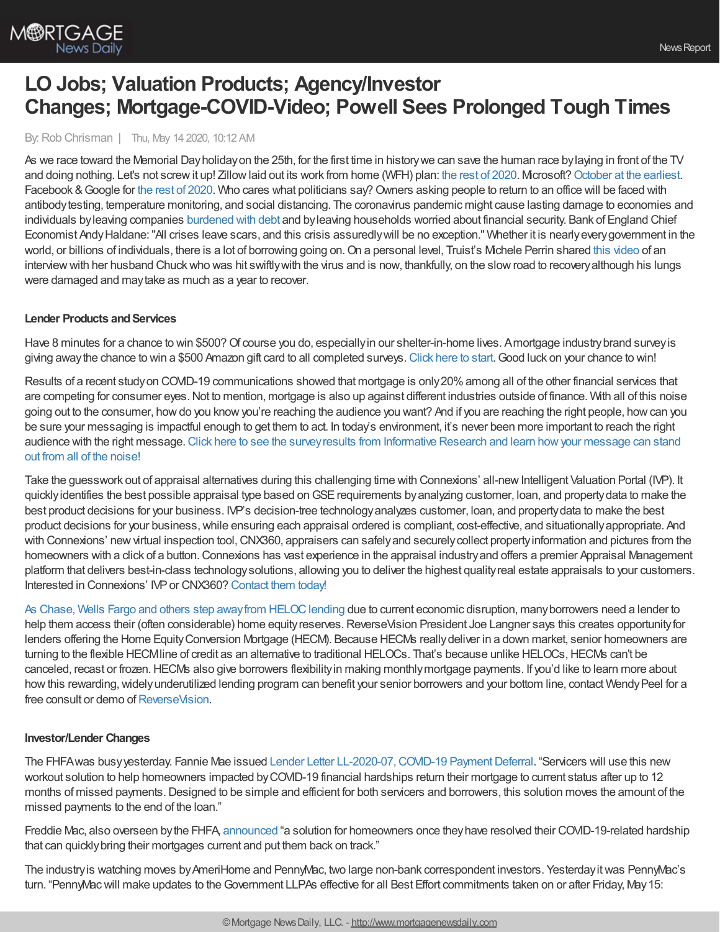

# **LO Jobs; Valuation Products; Agency/Investor Changes; Mortgage-COVID-Video; Powell Sees Prolonged Tough Times**

By: Rob Chrisman | Thu, May 14 2020, 10:12 AM

As we race toward the Memorial Dayholidayon the 25th, for the first time in historywe can save the human race bylaying in front of the TV and doing nothing. Let's not screw it up! Zillow laid out its work from home (WFH) plan: the rest of [2020.](https://www.geekwire.com/2020/zillow-approves-remote-work-policy-rest-2020-ceo-says-views-wfh-turned-upside/) Mcrosoft? [October](https://www.businessinsider.com/microsoft-work-from-home-policy-coronavirus-october-2020-5) at the earliest. Facebook & Google for the rest of [2020.](https://observer.com/2020/05/coronavirus-work-from-home-facebook-google-microsoft-apple-amazon/) Who cares what politicians say? Owners asking people to return to an office will be faced with antibodytesting, temperature monitoring, and social distancing. The coronavirus pandemic might cause lasting damage to economies and individuals by leaving companies [burdened](https://www.reuters.com/article/us-health-coronavirus-boe-haldane/boes-haldane-sees-long-term-covid-risks-perhaps-not-the-end-of-the-world-idUSKBN22N1XI) with debt and by leaving households worried about financial security. Bank of England Chief Economist AndyHaldane:"All crises leave scars, and this crisis assuredlywill be no exception." Whether it is nearlyeverygovernment in the world, or billions of individuals, there is a lot of borrowing going on. On a personal level, Truist's Michele Perrin shared this [video](https://vimeo.com/413236102?utm_source=email&utm_medium=vimeo-cliptranscode-201504&utm_campaign=28749) of an interview with her husband Chuck who was hit swiftly with the virus and is now, thankfully, on the slow road to recovery although his lungs were damaged and maytake as much as a year to recover.

## **Lender Products and Services**

Have 8 minutes for a chance to win \$500? Of course you do, especially in our shelter-in-home lives. Amortgage industry brand survey is giving away the chance to win a \$500 Amazon gift card to all completed surveys. [Click](https://www.surveymonkey.com/r/NN8DKL3) here to start. Good luck on your chance to win!

Results of a recent study on COVID-19 communications showed that mortgage is only 20% among all of the other financial services that are competing for consumer eyes.Not to mention, mortgage is also up against different industries outside of finance. With all of this noise going out to the consumer, howdo you knowyou're reaching the audience you want? And if you are reaching the right people, howcan you be sure your messaging is impactful enough to get them to act. In today's environment, it's never been more important to reach the right audience with the right message. Click here to see the survey results from Informative Research and learn how your message can stand out from all of the noise!

Take the guesswork out of appraisal alternatives during this challenging time with Connexions' all-new Intelligent Valuation Portal (IVP). It quickly identifies the best possible appraisal type based on GSE requirements by analyzing customer, loan, and property data to make the best product decisions for your business. IVP's decision-tree technologyanalyzes customer, loan, and propertydata to make the best product decisions for your business,while ensuring each appraisal ordered is compliant, cost-effective, and situationallyappropriate. And with Connexions' new virtual inspection tool, CNX360, appraisers can safely and securely collect property information and pictures from the homeowners with a click of a button. Connexions has vast experience in the appraisal industry and offers a premier Appraisal Management platform that delivers best-in-class technologysolutions, allowing you to deliver the highest qualityreal estate appraisals to your customers. Interested in Connexions' IVP or CNX360? [Contact](https://www.connexionssoftware.com/contact/) them today!

As Chase, Wells Fargo and others step away from HELOC lending due to current economic disruption, many borrowers need a lender to help them access their (often considerable) home equity reserves. ReverseVision President Joe Langner says this creates opportunity for lenders offering the Home EquityConversion Mortgage (HECM). Because HECMs reallydeliver in a down market, senior homeowners are turning to the flexible HECMline of credit as an alternative to traditional HELOCs. That's because unlike HELOCs, HECMs can't be canceled, recast or frozen.HECMs also give borrowers flexibilityin making monthlymortgage payments. If you'd like to learn more about how this rewarding, widely underutilized lending program can benefit your senior borrowers and your bottom line, contact Wendy Peel for a free consult or demo of [ReverseVision.](https://bit.ly/3dGRsZ3)

## **Investor/Lender Changes**

The FHFAwas busyyesterday. Fannie Mae issued Lender Letter [LL-2020-07,COVID-19](https://singlefamily.fanniemae.com/media/22916/display) PaymentDeferral. "Servicers will use this new workout solution to help homeowners impacted byCOVID-19 financial hardships return their mortgage to current status after up to 12 months of missed payments.Designed to be simple and efficient for both servicers and borrowers, this solution moves the amount of the missed payments to the end of the loan."

Freddie Mac, also overseen bythe FHFA, [announced](https://guide.freddiemac.com/app/guide/bulletin/2020-15) "a solution for homeowners once theyhave resolved their COVID-19-related hardship that can quicklybring their mortgages current and put them back on track."

The industryis watching moves byAmeriHome and PennyMac, two large non-bank correspondent investors. Yesterdayitwas PennyMac's turn. "PennyMacwill make updates to theGovernment LLPAs effective for all Best Effort commitments taken on or after Friday, May15: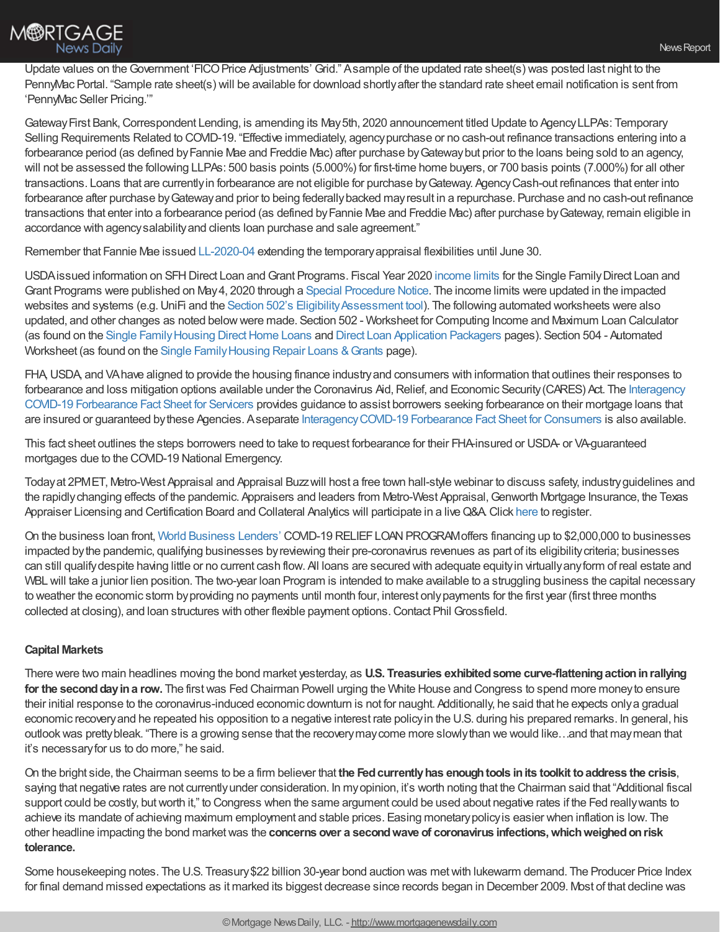

Update values on the Government 'FICO Price Adjustments' Grid." Asample of the updated rate sheet(s) was posted last night to the PennyMac Portal. "Sample rate sheet(s) will be available for download shortlyafter the standard rate sheet email notification is sent from 'PennyMac Seller Pricing.'"

Gateway First Bank, Correspondent Lending, is amending its May 5th, 2020 announcement titled Update to Agency LLPAs: Temporary Selling Requirements Related to COVID-19. "Effective immediately, agency purchase or no cash-out refinance transactions entering into a forbearance period (as defined byFannie Mae and Freddie Mac) after purchase byGatewaybut prior to the loans being sold to an agency, will not be assessed the following LLPAs: 500 basis points (5.000%) for first-time home buyers, or 700 basis points (7.000%) for all other transactions. Loans that are currentlyin forbearance are not eligible for purchase byGateway. AgencyCash-out refinances that enter into forbearance after purchase byGatewayand prior to being federallybacked mayresult in a repurchase. Purchase and no cash-out refinance transactions that enter into a forbearance period (as defined byFannie Mae and Freddie Mac) after purchase byGateway, remain eligible in accordance with agencysalabilityand clients loan purchase and sale agreement."

Remember that Fannie Mae issued [LL-2020-04](https://singlefamily.fanniemae.com/media/22321/display) extending the temporaryappraisal flexibilities until June 30.

USDA issued information on SFH Direct Loan and Grant Programs. Fiscal Year 2020 [income](https://www.rd.usda.gov/files/RD-DirectLimitMap.pdf) limits for the Single Family Direct Loan and Grant Programs were published on May4, 2020 through a Special [Procedure](https://www.rd.usda.gov/resources/directives/procedures-notices) Notice. The income limits were updated in the impacted websites and systems (e.g. UniFi and the Section 502's Eligibility Assessment tool). The following automated worksheets were also updated, and other changes as noted belowwere made. Section 502 - Worksheet for Computing Income and Maximum Loan Calculator (as found on the Single Family Housing Direct Home Loans and Direct Loan [Application](https://www.rd.usda.gov/programs-services/services/direct-loan-application-packagers) Packagers pages). Section 504 - Automated Worksheet (as found on the Single Family Housing Repair Loans & Grants page).

FHA,USDA, and VAhave aligned to provide the housing finance industryand consumers with information that outlines their responses to forbearance and loss mitigation options available under the Coronavirus Aid, Relief, and Economic Security (CARES) Act. The Interagency COVID-19 Forbearance Fact Sheet for Servicers provides guidance to assist borrowers seeking forbearance on their mortgage loans that are insured or guaranteed bythese Agencies. Aseparate [InteragencyCOVID-19](https://www.hud.gov/sites/dfiles/SFH/documents/IACOVID19FBFactSheetConsumer.pdf) Forbearance Fact Sheet for Consumers is also available.

This fact sheet outlines the steps borrowers need to take to request forbearance for their FHA-insured or USDA- or VA-guaranteed mortgages due to the COVID-19 National Emergency.

Todayat 2PMET, Metro-West Appraisal and Appraisal Buzzwill host a free town hall-style webinar to discuss safety, industryguidelines and the rapidly changing effects of the pandemic. Appraisers and leaders from Metro-West Appraisal, Genworth Mortgage Insurance, the Texas Appraiser Licensing and Certification Board and Collateral Analytics will participate in a liveQ&A.Click [here](https://www.bigmarker.com/Appraisal-Buzz/Business-as-Un-usual-Addressing-Appraisals-in-the-COVID-19-Crisis) to register.

On the business loan front, World [Business](https://nam05.safelinks.protection.outlook.com/?url=http%253A%252F%252Fr20.rs6.net%252Ftn.jsp%253Ff%253D001vdiI3-4BMo-1a6gHSY96fgohYAJjAGENVKTrxCWfGD26XSUFKFM5Am-oooiZuzENEUulq61kLmLOBAV7zLAdiYKy7FU_DtDJL0CcAh_0p7c3Uo2MV1oN8IwUMP0Yt9f3rsHY99aWA3wAIi0Qe7QMon6aGSFF0WPY%2526c%253DxNuVxI8Iwd1v0zfOCEyaW7efAcu614bp1SwbdLxcllQDc31tkWdYxQ%253D%253D%2526ch%253DJHxRZbvX54ODSWw18dTB4AyyqkXf51W4LLABNTlhSIfSR6k8cPhfNA%253D%253D&data=02%257C01%257Cpgrossfield%2540wbl.com%257C718a4c4c66f2449554a308d7e7ebfc64%257C1cec593ef9cd44d0b5aaecd196567e8a%257C0%257C0%257C637232873057800350&sdata=aMTCxw4sQA9hLVJ55vD9YOdGf4xO9dzUoVoyhVTT1%252Bw%253D&reserved=0) Lenders' COVID-19 RELIEFLOANPROGRAMoffers financing up to \$2,000,000 to businesses impacted bythe pandemic, qualifying businesses byreviewing their pre-coronavirus revenues as part of its eligibilitycriteria; businesses can still qualifydespite having little or no current cash flow. All loans are secured with adequate equityin virtuallyanyform of real estate and WBL will take a junior lien position. The two-year loan Program is intended to make available to a struggling business the capital necessary to weather the economic storm byproviding no payments until month four, interest onlypayments for the first year (first three months collected at closing), and loan structures with other flexible payment options.Contact Phil Grossfield.

## **Capital Markets**

There were two main headlines moving the bond market yesterday, as **U.S. Treasuries exhibitedsome curve-flatteningactioninrallying for the second day in a row.** The first was Fed Chairman Powell urging the White House and Congress to spend more money to ensure their initial response to the coronavirus-induced economic downturn is not for naught. Additionally, he said that he expects onlya gradual economic recoveryand he repeated his opposition to a negative interest rate policyin the U.S. during his prepared remarks. In general, his outlookwas prettybleak. "There is a growing sense that the recoverymaycome more slowlythan we would like…and that maymean that it's necessaryfor us to do more," he said.

On the bright side, the Chairman seems to be a firm believer that **the Fedcurrentlyhas enoughtools inits toolkit toaddress the crisis**, saying that negative rates are not currently under consideration. In my opinion, it's worth noting that the Chairman said that "Additional fiscal support could be costly, butworth it," to Congress when the same argument could be used about negative rates if the Fed reallywants to achieve its mandate of achieving maximum employment and stable prices. Easing monetarypolicyis easier when inflation is low. The other headline impacting the bond marketwas the **concerns over a secondwave of coronavirus infections,whichweighedonrisk tolerance.**

Some housekeeping notes. The U.S. Treasury\$22 billion 30-year bond auction was metwith lukewarm demand. The Producer Price Index for final demand missed expectations as it marked its biggest decrease since records began in December 2009. Most of that decline was